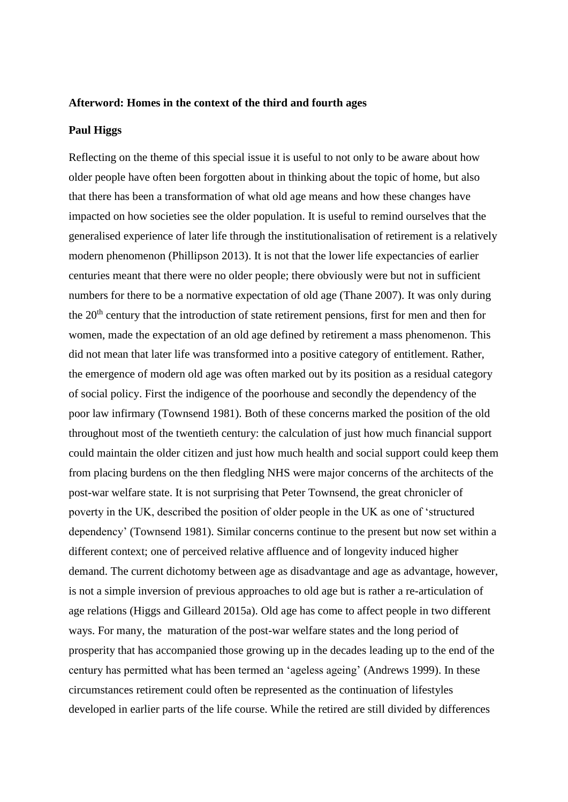## **Afterword: Homes in the context of the third and fourth ages**

## **Paul Higgs**

Reflecting on the theme of this special issue it is useful to not only to be aware about how older people have often been forgotten about in thinking about the topic of home, but also that there has been a transformation of what old age means and how these changes have impacted on how societies see the older population. It is useful to remind ourselves that the generalised experience of later life through the institutionalisation of retirement is a relatively modern phenomenon (Phillipson 2013). It is not that the lower life expectancies of earlier centuries meant that there were no older people; there obviously were but not in sufficient numbers for there to be a normative expectation of old age (Thane 2007). It was only during the  $20<sup>th</sup>$  century that the introduction of state retirement pensions, first for men and then for women, made the expectation of an old age defined by retirement a mass phenomenon. This did not mean that later life was transformed into a positive category of entitlement. Rather, the emergence of modern old age was often marked out by its position as a residual category of social policy. First the indigence of the poorhouse and secondly the dependency of the poor law infirmary (Townsend 1981). Both of these concerns marked the position of the old throughout most of the twentieth century: the calculation of just how much financial support could maintain the older citizen and just how much health and social support could keep them from placing burdens on the then fledgling NHS were major concerns of the architects of the post-war welfare state. It is not surprising that Peter Townsend, the great chronicler of poverty in the UK, described the position of older people in the UK as one of 'structured dependency' (Townsend 1981). Similar concerns continue to the present but now set within a different context; one of perceived relative affluence and of longevity induced higher demand. The current dichotomy between age as disadvantage and age as advantage, however, is not a simple inversion of previous approaches to old age but is rather a re-articulation of age relations (Higgs and Gilleard 2015a). Old age has come to affect people in two different ways. For many, the maturation of the post-war welfare states and the long period of prosperity that has accompanied those growing up in the decades leading up to the end of the century has permitted what has been termed an 'ageless ageing' (Andrews 1999). In these circumstances retirement could often be represented as the continuation of lifestyles developed in earlier parts of the life course. While the retired are still divided by differences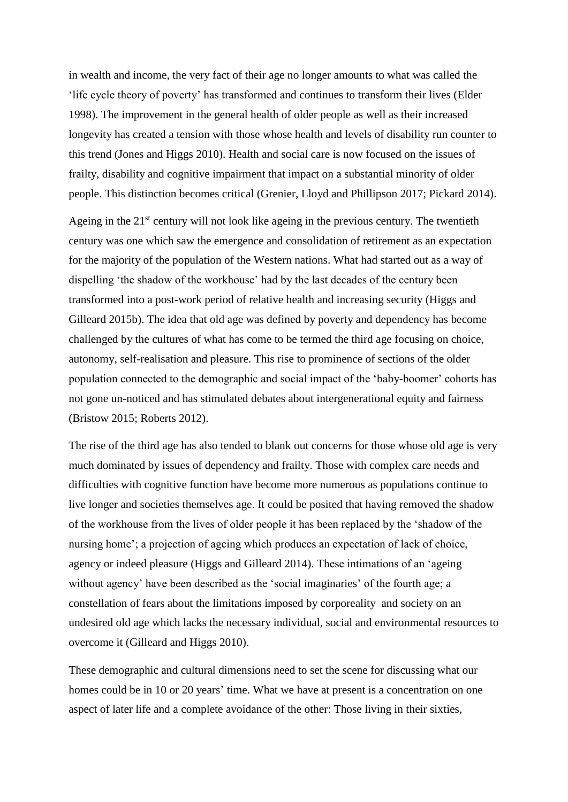in wealth and income, the very fact of their age no longer amounts to what was called the 'life cycle theory of poverty' has transformed and continues to transform their lives (Elder 1998). The improvement in the general health of older people as well as their increased longevity has created a tension with those whose health and levels of disability run counter to this trend (Jones and Higgs 2010). Health and social care is now focused on the issues of frailty, disability and cognitive impairment that impact on a substantial minority of older people. This distinction becomes critical (Grenier, Lloyd and Phillipson 2017; Pickard 2014).

Ageing in the 21<sup>st</sup> century will not look like ageing in the previous century. The twentieth century was one which saw the emergence and consolidation of retirement as an expectation for the majority of the population of the Western nations. What had started out as a way of dispelling 'the shadow of the workhouse' had by the last decades of the century been transformed into a post-work period of relative health and increasing security (Higgs and Gilleard 2015b). The idea that old age was defined by poverty and dependency has become challenged by the cultures of what has come to be termed the third age focusing on choice, autonomy, self-realisation and pleasure. This rise to prominence of sections of the older population connected to the demographic and social impact of the 'baby-boomer' cohorts has not gone un-noticed and has stimulated debates about intergenerational equity and fairness (Bristow 2015; Roberts 2012).

The rise of the third age has also tended to blank out concerns for those whose old age is very much dominated by issues of dependency and frailty. Those with complex care needs and difficulties with cognitive function have become more numerous as populations continue to live longer and societies themselves age. It could be posited that having removed the shadow of the workhouse from the lives of older people it has been replaced by the 'shadow of the nursing home'; a projection of ageing which produces an expectation of lack of choice, agency or indeed pleasure (Higgs and Gilleard 2014). These intimations of an 'ageing without agency' have been described as the 'social imaginaries' of the fourth age; a constellation of fears about the limitations imposed by corporeality and society on an undesired old age which lacks the necessary individual, social and environmental resources to overcome it (Gilleard and Higgs 2010).

These demographic and cultural dimensions need to set the scene for discussing what our homes could be in 10 or 20 years' time. What we have at present is a concentration on one aspect of later life and a complete avoidance of the other: Those living in their sixties,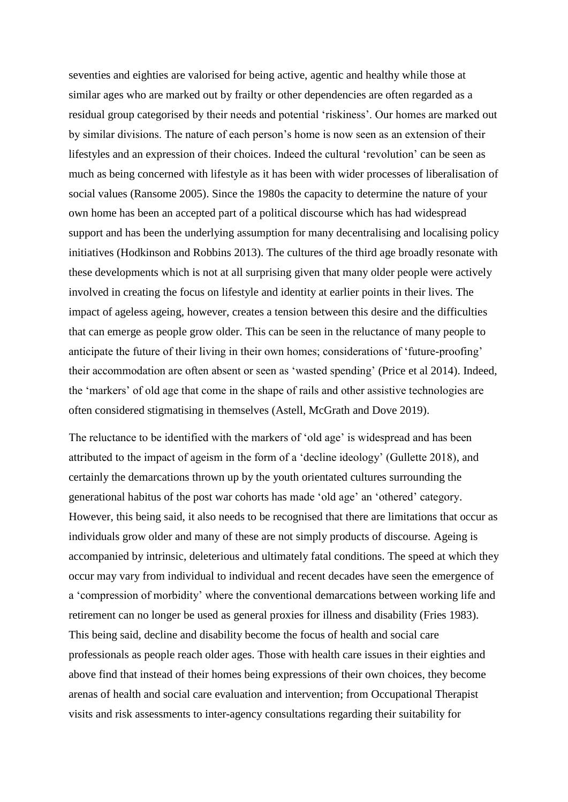seventies and eighties are valorised for being active, agentic and healthy while those at similar ages who are marked out by frailty or other dependencies are often regarded as a residual group categorised by their needs and potential 'riskiness'. Our homes are marked out by similar divisions. The nature of each person's home is now seen as an extension of their lifestyles and an expression of their choices. Indeed the cultural 'revolution' can be seen as much as being concerned with lifestyle as it has been with wider processes of liberalisation of social values (Ransome 2005). Since the 1980s the capacity to determine the nature of your own home has been an accepted part of a political discourse which has had widespread support and has been the underlying assumption for many decentralising and localising policy initiatives (Hodkinson and Robbins 2013). The cultures of the third age broadly resonate with these developments which is not at all surprising given that many older people were actively involved in creating the focus on lifestyle and identity at earlier points in their lives. The impact of ageless ageing, however, creates a tension between this desire and the difficulties that can emerge as people grow older. This can be seen in the reluctance of many people to anticipate the future of their living in their own homes; considerations of 'future-proofing' their accommodation are often absent or seen as 'wasted spending' (Price et al 2014). Indeed, the 'markers' of old age that come in the shape of rails and other assistive technologies are often considered stigmatising in themselves (Astell, McGrath and Dove 2019).

The reluctance to be identified with the markers of 'old age' is widespread and has been attributed to the impact of ageism in the form of a 'decline ideology' (Gullette 2018), and certainly the demarcations thrown up by the youth orientated cultures surrounding the generational habitus of the post war cohorts has made 'old age' an 'othered' category. However, this being said, it also needs to be recognised that there are limitations that occur as individuals grow older and many of these are not simply products of discourse. Ageing is accompanied by intrinsic, deleterious and ultimately fatal conditions. The speed at which they occur may vary from individual to individual and recent decades have seen the emergence of a 'compression of morbidity' where the conventional demarcations between working life and retirement can no longer be used as general proxies for illness and disability (Fries 1983). This being said, decline and disability become the focus of health and social care professionals as people reach older ages. Those with health care issues in their eighties and above find that instead of their homes being expressions of their own choices, they become arenas of health and social care evaluation and intervention; from Occupational Therapist visits and risk assessments to inter-agency consultations regarding their suitability for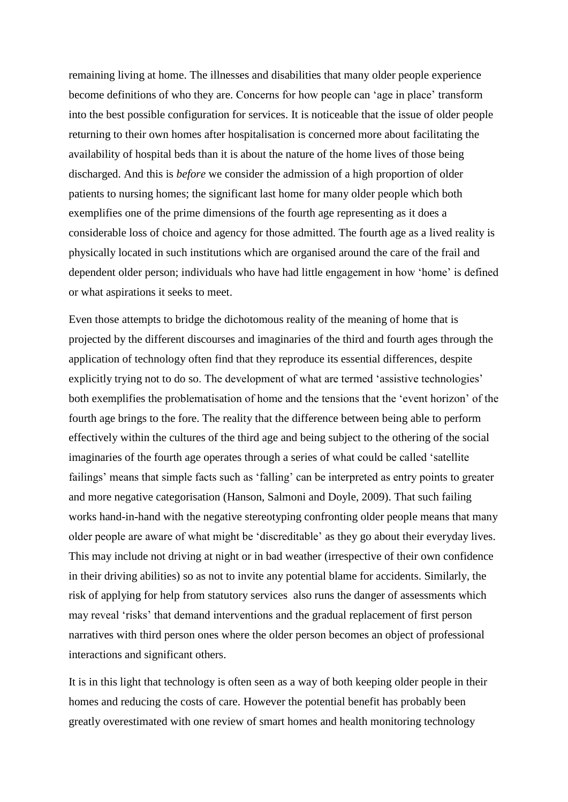remaining living at home. The illnesses and disabilities that many older people experience become definitions of who they are. Concerns for how people can 'age in place' transform into the best possible configuration for services. It is noticeable that the issue of older people returning to their own homes after hospitalisation is concerned more about facilitating the availability of hospital beds than it is about the nature of the home lives of those being discharged. And this is *before* we consider the admission of a high proportion of older patients to nursing homes; the significant last home for many older people which both exemplifies one of the prime dimensions of the fourth age representing as it does a considerable loss of choice and agency for those admitted. The fourth age as a lived reality is physically located in such institutions which are organised around the care of the frail and dependent older person; individuals who have had little engagement in how 'home' is defined or what aspirations it seeks to meet.

Even those attempts to bridge the dichotomous reality of the meaning of home that is projected by the different discourses and imaginaries of the third and fourth ages through the application of technology often find that they reproduce its essential differences, despite explicitly trying not to do so. The development of what are termed 'assistive technologies' both exemplifies the problematisation of home and the tensions that the 'event horizon' of the fourth age brings to the fore. The reality that the difference between being able to perform effectively within the cultures of the third age and being subject to the othering of the social imaginaries of the fourth age operates through a series of what could be called 'satellite failings' means that simple facts such as 'falling' can be interpreted as entry points to greater and more negative categorisation (Hanson, Salmoni and Doyle, 2009). That such failing works hand-in-hand with the negative stereotyping confronting older people means that many older people are aware of what might be 'discreditable' as they go about their everyday lives. This may include not driving at night or in bad weather (irrespective of their own confidence in their driving abilities) so as not to invite any potential blame for accidents. Similarly, the risk of applying for help from statutory services also runs the danger of assessments which may reveal 'risks' that demand interventions and the gradual replacement of first person narratives with third person ones where the older person becomes an object of professional interactions and significant others.

It is in this light that technology is often seen as a way of both keeping older people in their homes and reducing the costs of care. However the potential benefit has probably been greatly overestimated with one review of smart homes and health monitoring technology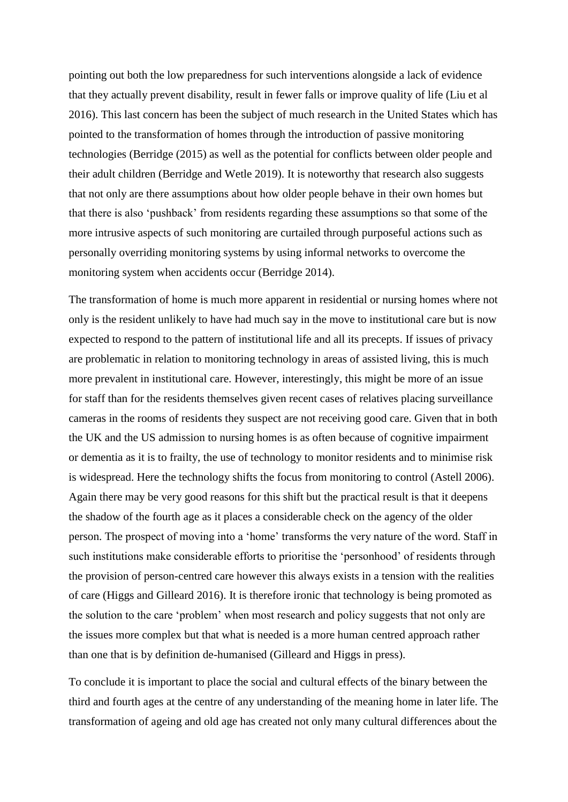pointing out both the low preparedness for such interventions alongside a lack of evidence that they actually prevent disability, result in fewer falls or improve quality of life (Liu et al 2016). This last concern has been the subject of much research in the United States which has pointed to the transformation of homes through the introduction of passive monitoring technologies (Berridge (2015) as well as the potential for conflicts between older people and their adult children (Berridge and Wetle 2019). It is noteworthy that research also suggests that not only are there assumptions about how older people behave in their own homes but that there is also 'pushback' from residents regarding these assumptions so that some of the more intrusive aspects of such monitoring are curtailed through purposeful actions such as personally overriding monitoring systems by using informal networks to overcome the monitoring system when accidents occur (Berridge 2014).

The transformation of home is much more apparent in residential or nursing homes where not only is the resident unlikely to have had much say in the move to institutional care but is now expected to respond to the pattern of institutional life and all its precepts. If issues of privacy are problematic in relation to monitoring technology in areas of assisted living, this is much more prevalent in institutional care. However, interestingly, this might be more of an issue for staff than for the residents themselves given recent cases of relatives placing surveillance cameras in the rooms of residents they suspect are not receiving good care. Given that in both the UK and the US admission to nursing homes is as often because of cognitive impairment or dementia as it is to frailty, the use of technology to monitor residents and to minimise risk is widespread. Here the technology shifts the focus from monitoring to control (Astell 2006). Again there may be very good reasons for this shift but the practical result is that it deepens the shadow of the fourth age as it places a considerable check on the agency of the older person. The prospect of moving into a 'home' transforms the very nature of the word. Staff in such institutions make considerable efforts to prioritise the 'personhood' of residents through the provision of person-centred care however this always exists in a tension with the realities of care (Higgs and Gilleard 2016). It is therefore ironic that technology is being promoted as the solution to the care 'problem' when most research and policy suggests that not only are the issues more complex but that what is needed is a more human centred approach rather than one that is by definition de-humanised (Gilleard and Higgs in press).

To conclude it is important to place the social and cultural effects of the binary between the third and fourth ages at the centre of any understanding of the meaning home in later life. The transformation of ageing and old age has created not only many cultural differences about the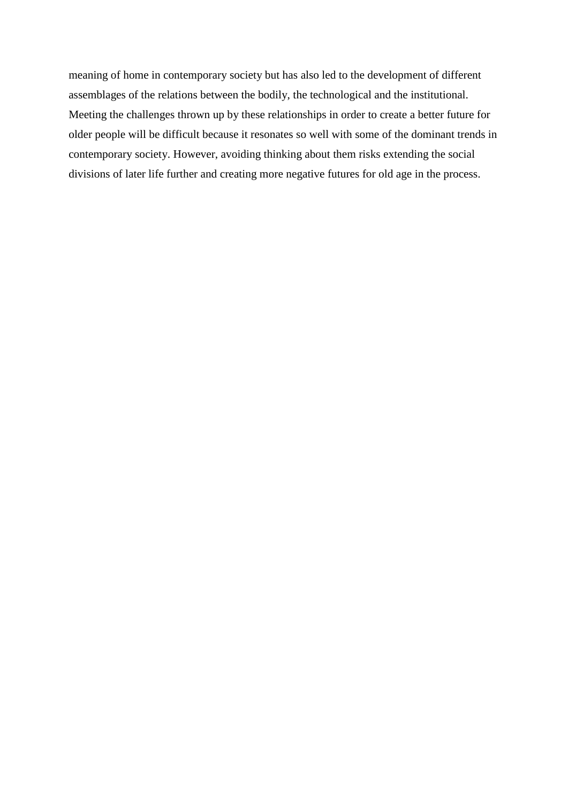meaning of home in contemporary society but has also led to the development of different assemblages of the relations between the bodily, the technological and the institutional. Meeting the challenges thrown up by these relationships in order to create a better future for older people will be difficult because it resonates so well with some of the dominant trends in contemporary society. However, avoiding thinking about them risks extending the social divisions of later life further and creating more negative futures for old age in the process.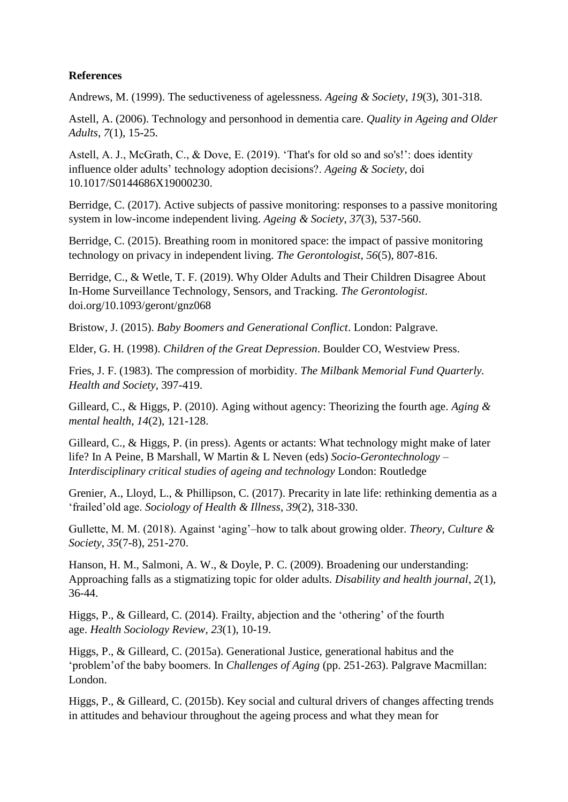## **References**

Andrews, M. (1999). The seductiveness of agelessness. *Ageing & Society*, *19*(3), 301-318.

Astell, A. (2006). Technology and personhood in dementia care. *Quality in Ageing and Older Adults*, *7*(1), 15-25.

Astell, A. J., McGrath, C., & Dove, E. (2019). 'That's for old so and so's!': does identity influence older adults' technology adoption decisions?. *Ageing & Society*, doi 10.1017/S0144686X19000230.

Berridge, C. (2017). Active subjects of passive monitoring: responses to a passive monitoring system in low-income independent living. *Ageing & Society*, *37*(3), 537-560.

Berridge, C. (2015). Breathing room in monitored space: the impact of passive monitoring technology on privacy in independent living. *The Gerontologist*, *56*(5), 807-816.

Berridge, C., & Wetle, T. F. (2019). Why Older Adults and Their Children Disagree About In-Home Surveillance Technology, Sensors, and Tracking. *The Gerontologist*. doi.org/10.1093/geront/gnz068

Bristow, J. (2015). *Baby Boomers and Generational Conflict*. London: Palgrave.

Elder, G. H. (1998). *Children of the Great Depression*. Boulder CO, Westview Press.

Fries, J. F. (1983). The compression of morbidity. *The Milbank Memorial Fund Quarterly. Health and Society*, 397-419.

Gilleard, C., & Higgs, P. (2010). Aging without agency: Theorizing the fourth age. *Aging & mental health*, *14*(2), 121-128.

Gilleard, C., & Higgs, P. (in press). Agents or actants: What technology might make of later life? In A Peine, B Marshall, W Martin & L Neven (eds) *Socio-Gerontechnology – Interdisciplinary critical studies of ageing and technology* London: Routledge

Grenier, A., Lloyd, L., & Phillipson, C. (2017). Precarity in late life: rethinking dementia as a 'frailed'old age. *Sociology of Health & Illness*, *39*(2), 318-330.

Gullette, M. M. (2018). Against 'aging'–how to talk about growing older. *Theory, Culture & Society*, *35*(7-8), 251-270.

Hanson, H. M., Salmoni, A. W., & Doyle, P. C. (2009). Broadening our understanding: Approaching falls as a stigmatizing topic for older adults. *Disability and health journal*, *2*(1), 36-44.

Higgs, P., & Gilleard, C. (2014). Frailty, abjection and the 'othering' of the fourth age. *Health Sociology Review*, *23*(1), 10-19.

Higgs, P., & Gilleard, C. (2015a). Generational Justice, generational habitus and the 'problem'of the baby boomers. In *Challenges of Aging* (pp. 251-263). Palgrave Macmillan: London.

Higgs, P., & Gilleard, C. (2015b). Key social and cultural drivers of changes affecting trends in attitudes and behaviour throughout the ageing process and what they mean for